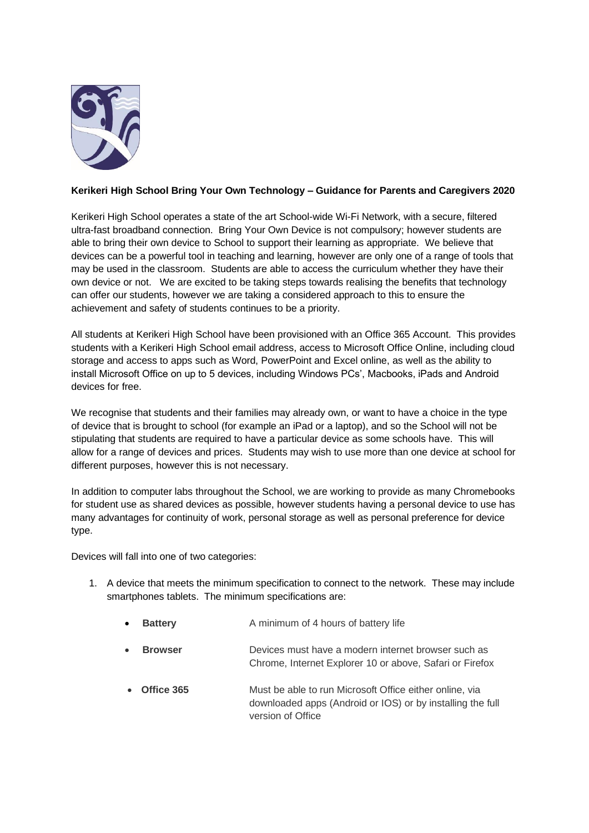

## **Kerikeri High School Bring Your Own Technology – Guidance for Parents and Caregivers 2020**

Kerikeri High School operates a state of the art School-wide Wi-Fi Network, with a secure, filtered ultra-fast broadband connection. Bring Your Own Device is not compulsory; however students are able to bring their own device to School to support their learning as appropriate. We believe that devices can be a powerful tool in teaching and learning, however are only one of a range of tools that may be used in the classroom. Students are able to access the curriculum whether they have their own device or not. We are excited to be taking steps towards realising the benefits that technology can offer our students, however we are taking a considered approach to this to ensure the achievement and safety of students continues to be a priority.

All students at Kerikeri High School have been provisioned with an Office 365 Account. This provides students with a Kerikeri High School email address, access to Microsoft Office Online, including cloud storage and access to apps such as Word, PowerPoint and Excel online, as well as the ability to install Microsoft Office on up to 5 devices, including Windows PCs', Macbooks, iPads and Android devices for free.

We recognise that students and their families may already own, or want to have a choice in the type of device that is brought to school (for example an iPad or a laptop), and so the School will not be stipulating that students are required to have a particular device as some schools have. This will allow for a range of devices and prices. Students may wish to use more than one device at school for different purposes, however this is not necessary.

In addition to computer labs throughout the School, we are working to provide as many Chromebooks for student use as shared devices as possible, however students having a personal device to use has many advantages for continuity of work, personal storage as well as personal preference for device type.

Devices will fall into one of two categories:

- 1. A device that meets the minimum specification to connect to the network. These may include smartphones tablets. The minimum specifications are:
	- **Battery A** minimum of 4 hours of battery life
	- **Browser** Devices must have a modern internet browser such as Chrome, Internet Explorer 10 or above, Safari or Firefox
	- **Office 365** Must be able to run Microsoft Office either online, via downloaded apps (Android or IOS) or by installing the full version of Office